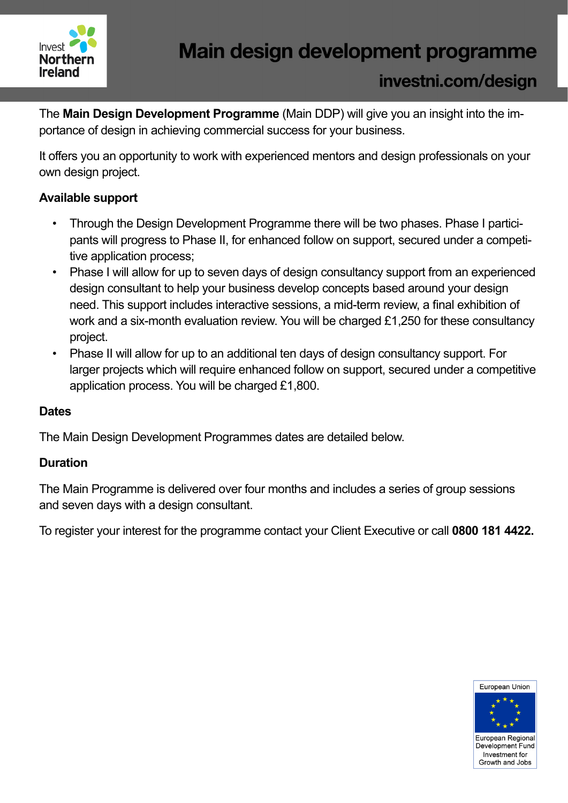

The **Main Design Development Programme** (Main DDP) will give you an insight into the importance of design in achieving commercial success for your business.

It offers you an opportunity to work with experienced mentors and design professionals on your own design project.

### **Available support**

- Through the Design Development Programme there will be two phases. Phase I participants will progress to Phase II, for enhanced follow on support, secured under a competitive application process;
- Phase I will allow for up to seven days of design consultancy support from an experienced design consultant to help your business develop concepts based around your design need. This support includes interactive sessions, a mid-term review, a final exhibition of work and a six-month evaluation review. You will be charged £1,250 for these consultancy project.
- Phase II will allow for up to an additional ten days of design consultancy support. For larger projects which will require enhanced follow on support, secured under a competitive application process. You will be charged £1,800.

### **Dates**

The Main Design Development Programmes dates are detailed below.

### **Duration**

The Main Programme is delivered over four months and includes a series of group sessions and seven days with a design consultant.

To register your interest for the programme contact your Client Executive or call **0800 181 4422.**